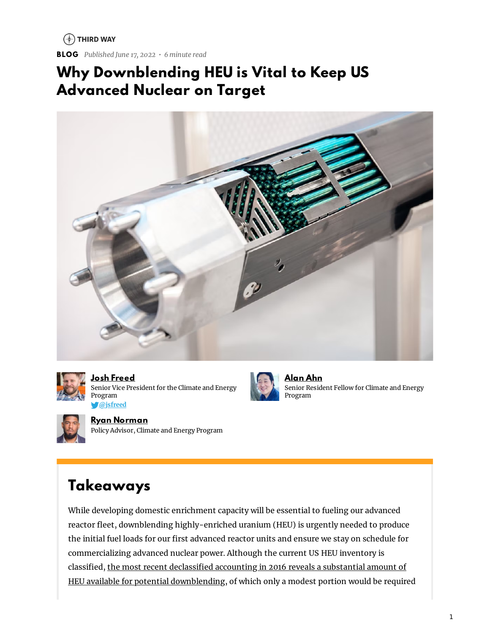$(*)$  THIRD WAY

**BLOG** *Published June 17, 2022 • 6 minute read*

#### **Why Downblending HEU is Vital to Keep US Advanced Nuclear on Target**





**Josh [Freed](https://www.thirdway.org/about/staff/josh-freed)** Senior Vice President for the Climate and Energy Program **[@jsfreed](https://www.twitter.com/jsfreed)**



**[Alan](https://www.thirdway.org/about/staff/alan-ahn) Ahn** Senior Resident Fellow for Climate and Energy Program



**Ryan [Norman](https://www.thirdway.org/about/staff/ryan-norman)** Policy Advisor, Climate and Energy Program

### **Takeaways**

While developing domestic enrichment capacity will be essential to fueling our advanced reactor fleet, downblending highly-enriched uranium (HEU) is urgently needed to produce the initial fuel loads for our first advanced reactor units and ensure we stay on schedule for commercializing advanced nuclear power. Although the current US HEU inventory is classified, the most recent declassified accounting in 2016 reveals a substantial amount of HEU available for potential [downblending,](https://obamawhitehouse.archives.gov/the-press-office/2016/03/31/fact-sheet-transparency-us-highly-enriched-uranium-inventory) of which only a modest portion would be required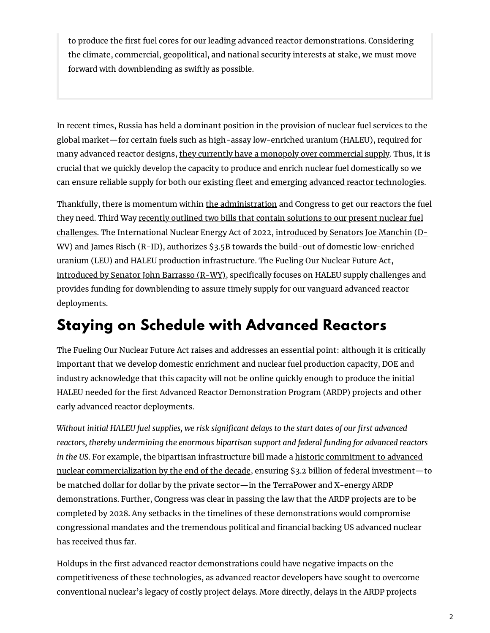to produce the first fuel cores for our leading advanced reactor demonstrations. Considering the climate, commercial, geopolitical, and national security interests at stake, we must move forward with downblending as swiftly as possible.

In recent times, Russia has held a dominant position in the provision of nuclear fuel services to the global market—for certain fuels such as high-assay low-enriched uranium (HALEU), required for many advanced reactor designs, they currently have a monopoly over [commercial](https://www.thirdway.org/memo/developing-domestic-haleu-supply-spells-freedom-from-russian-dependency) supply. Thus, it is crucial that we quickly develop the capacity to produce and enrich nuclear fuel domestically so we can ensure reliable supply for both our [existing](https://www.thirdway.org/memo/importance-of-preserving-existing-nuclear) fleet and emerging advanced reactor [technologies](https://www.thirdway.org/blog/revitalizing-americas-nuclear-energy-supply-chain).

Thankfully, there is momentum within the [administration](https://www.bloomberg.com/news/articles/2022-06-07/us-seeks-4-3-billion-for-nuclear-fuel-to-wean-off-russia-supply?sref=Vi7wu7Hv#xj4y7vzkg) and Congress to get our reactors the fuel they need. Third Way recently outlined two bills that contain solutions to our present nuclear fuel challenges. The [International](https://www.thirdway.org/blog/fueling-american-reactors-a-tale-of-two-nuclear-bills) Nuclear Energy Act of 2022, introduced by Senators Joe Manchin (D-WV) and James Risch (R-ID), authorizes \$3.5B towards the build-out of domestic low-enriched uranium (LEU) and HALEU production infrastructure. The Fueling Our Nuclear Future Act, [introduced](https://www.energy.senate.gov/2022/4/barrasso-introduces-bill-to-secure-american-fuel-for-advanced-nuclear-reactors#:~:text=WASHINGTON%2C%20D.C.%20%E2%80%94%20Today%2C%20U.S.,HALEU)%20for%20advanced%20nuclear%20reactors.) by Senator John Barrasso (R-WY), specifically focuses on HALEU supply challenges and provides funding for downblending to assure timely supply for our vanguard advanced reactor deployments.

### **Staying on Schedule with Advanced Reactors**

The Fueling Our Nuclear Future Act raises and addresses an essential point: although it is critically important that we develop domestic enrichment and nuclear fuel production capacity, DOE and industry acknowledge that this capacity will not be online quickly enough to produce the initial HALEU needed for the first Advanced Reactor Demonstration Program (ARDP) projects and other early advanced reactor deployments.

*Mithout initial HALEU fuel supplies, we risk significant <i>delays* to the *start dates of our first advanced reactors, thereby undermining the enormous bipartisan support and federal funding for advanced reactors in the US*. For example, the bipartisan infrastructure bill made a historic commitment to advanced nuclear [commercialization](https://www.thirdway.org/memo/why-the-bid-is-a-big-down-payment-on-clean-energy) by the end of the decade, ensuring \$3.2 billion of federal investment—to be matched dollar for dollar by the private sector—in the TerraPower and X-energy ARDP demonstrations. Further, Congress was clear in passing the law that the ARDP projects are to be completed by 2028. Any setbacks in the timelines of these demonstrations would compromise congressional mandates and the tremendous political and financial backing US advanced nuclear has received thus far.

Holdups in the first advanced reactor demonstrations could have negative impacts on the competitiveness of these technologies, as advanced reactor developers have sought to overcome conventional nuclear's legacy of costly project delays. More directly, delays in the ARDP projects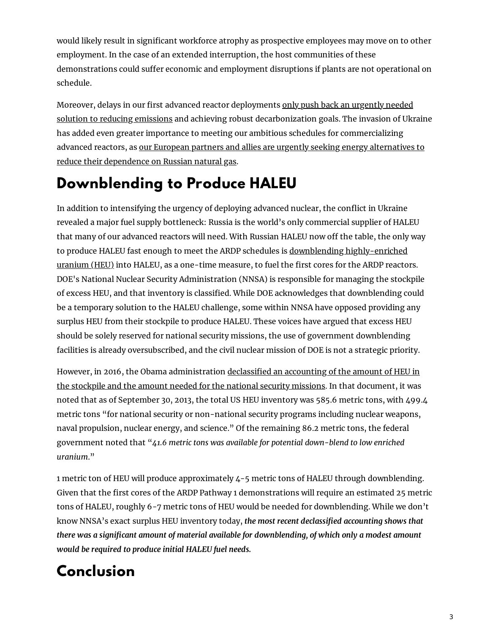would likely result in significant workforce atrophy as prospective employees may move on to other employment. In the case of an extended interruption, the host communities of these demonstrations could suffer economic and employment disruptions if plants are not operational on schedule.

Moreover, delays in our first advanced reactor deployments only push back an urgently needed solution to reducing emissions and achieving robust [decarbonization](https://www.thirdway.org/memo/how-advanced-nuclear-got-on-the-map) goals. The invasion of Ukraine has added even greater importance to meeting our ambitious schedules for commercializing advanced reactors, as our European partners and allies are urgently seeking energy alternatives to reduce their [dependence](https://www.thirdway.org/memo/making-the-u-s-the-worlds-arsenal-of-clean-energy) on Russian natural gas.

## **Downblending to Produce HALEU**

In addition to intensifying the urgency of deploying advanced nuclear, the conflict in Ukraine revealed a major fuel supply bottleneck: Russia is the world's only commercial supplier of HALEU that many of our advanced reactors will need. With Russian HALEU now off the table, the only way to produce HALEU fast enough to meet the ARDP schedules is downblending [highly-enriched](https://www.world-nuclear-news.org/Articles/US-awards-HEU-downblending-contract) uranium (HEU) into HALEU, as a one-time measure, to fuel the first cores for the ARDP reactors. DOE's National Nuclear Security Administration (NNSA) is responsible for managing the stockpile of excess HEU, and that inventory is classified. While DOE acknowledges that downblending could be a temporary solution to the HALEU challenge, some within NNSA have opposed providing any surplus HEU from their stockpile to produce HALEU. These voices have argued that excess HEU should be solely reserved for national security missions, the use of government downblending facilities is already oversubscribed, and the civil nuclear mission of DOE is not a strategic priority.

However, in 2016, the Obama [administration](https://obamawhitehouse.archives.gov/the-press-office/2016/03/31/fact-sheet-transparency-us-highly-enriched-uranium-inventory) declassified an accounting of the amount of HEU in the stockpile and the amount needed for the national security missions. In that document, it was noted that as of September 30, 2013, the total US HEU inventory was 585.6 metric tons, with 499.4 metric tons "for national security or non-national security programs including nuclear weapons, naval propulsion, nuclear energy, and science." Of the remaining 86.2 metric tons, the federal government noted that "*41.6 metric tons was available for potential down-blend to low enriched uranium*."

1 metric ton of HEU will produce approximately 4-5 metric tons of HALEU through downblending. Given that the first cores of the ARDP Pathway 1 demonstrations will require an estimated 25 metric tons of HALEU, roughly 6-7 metric tons of HEU would be needed for downblending. While we don't know NNSA's exact surplus HEU inventory today, *the most recent declassied accounting shows that there was a signicant amount of material available for downblending, of which only a modest amount would be required to produce initial HALEU fuel needs.*

# **Conclusion**